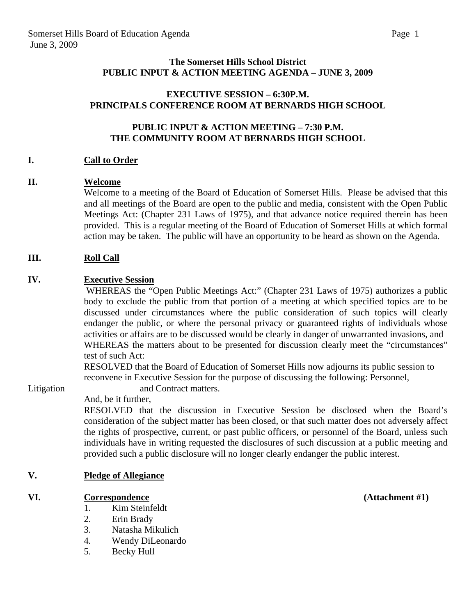### **The Somerset Hills School District PUBLIC INPUT & ACTION MEETING AGENDA – JUNE 3, 2009**

### **EXECUTIVE SESSION – 6:30P.M. PRINCIPALS CONFERENCE ROOM AT BERNARDS HIGH SCHOOL**

### **PUBLIC INPUT & ACTION MEETING – 7:30 P.M. THE COMMUNITY ROOM AT BERNARDS HIGH SCHOOL**

### **I. Call to Order**

### **II. Welcome**

Welcome to a meeting of the Board of Education of Somerset Hills. Please be advised that this and all meetings of the Board are open to the public and media, consistent with the Open Public Meetings Act: (Chapter 231 Laws of 1975), and that advance notice required therein has been provided. This is a regular meeting of the Board of Education of Somerset Hills at which formal action may be taken. The public will have an opportunity to be heard as shown on the Agenda.

### **III.** Roll Call

### **IV. Executive Session**

 WHEREAS the "Open Public Meetings Act:" (Chapter 231 Laws of 1975) authorizes a public body to exclude the public from that portion of a meeting at which specified topics are to be discussed under circumstances where the public consideration of such topics will clearly endanger the public, or where the personal privacy or guaranteed rights of individuals whose activities or affairs are to be discussed would be clearly in danger of unwarranted invasions, and WHEREAS the matters about to be presented for discussion clearly meet the "circumstances" test of such Act:

 RESOLVED that the Board of Education of Somerset Hills now adjourns its public session to reconvene in Executive Session for the purpose of discussing the following: Personnel,

Litigation and Contract matters.

And, be it further,

RESOLVED that the discussion in Executive Session be disclosed when the Board's consideration of the subject matter has been closed, or that such matter does not adversely affect the rights of prospective, current, or past public officers, or personnel of the Board, unless such individuals have in writing requested the disclosures of such discussion at a public meeting and provided such a public disclosure will no longer clearly endanger the public interest.

### **V. Pledge of Allegiance**

### **VI. Correspondence (Attachment #1)**

- 1. Kim Steinfeldt
- 2. Erin Brady
- 3. Natasha Mikulich
- 4. Wendy DiLeonardo
- 5. Becky Hull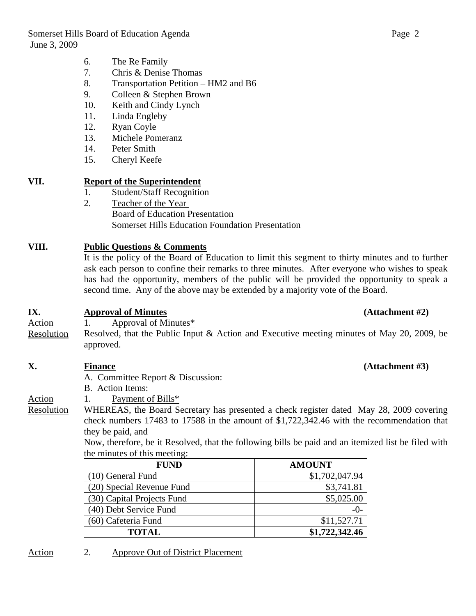- 7. Chris & Denise Thomas
- 8. Transportation Petition HM2 and B6
- 9. Colleen & Stephen Brown
- 10. Keith and Cindy Lynch
- 11. Linda Engleby
- 12. Ryan Coyle
- 13. Michele Pomeranz
- 14. Peter Smith
- 15. Cheryl Keefe

### **VII. Report of the Superintendent**

- 1. Student/Staff Recognition
- 2. Teacher of the Year Board of Education Presentation Somerset Hills Education Foundation Presentation

### **VIII. Public Questions & Comments**

It is the policy of the Board of Education to limit this segment to thirty minutes and to further ask each person to confine their remarks to three minutes. After everyone who wishes to speak has had the opportunity, members of the public will be provided the opportunity to speak a second time. Any of the above may be extended by a majority vote of the Board.

### **IX. Approval of Minutes (Attachment #2)**

Action 1. Approval of Minutes\*

Resolution Resolved, that the Public Input & Action and Executive meeting minutes of May 20, 2009, be approved.

### **X. Finance (Attachment #3)**

- A. Committee Report & Discussion:
- B. Action Items:
- Action 1. Payment of Bills\*
- Resolution WHEREAS, the Board Secretary has presented a check register dated May 28, 2009 covering check numbers 17483 to 17588 in the amount of \$1,722,342.46 with the recommendation that they be paid, and

 Now, therefore, be it Resolved, that the following bills be paid and an itemized list be filed with the minutes of this meeting:

| <b>FUND</b>                | <b>AMOUNT</b>  |
|----------------------------|----------------|
| (10) General Fund          | \$1,702,047.94 |
| (20) Special Revenue Fund  | \$3,741.81     |
| (30) Capital Projects Fund | \$5,025.00     |
| (40) Debt Service Fund     | $-()$ -        |
| (60) Cafeteria Fund        | \$11,527.71    |
| <b>TOTAL</b>               | \$1,722,342.46 |

### Action 2. Approve Out of District Placement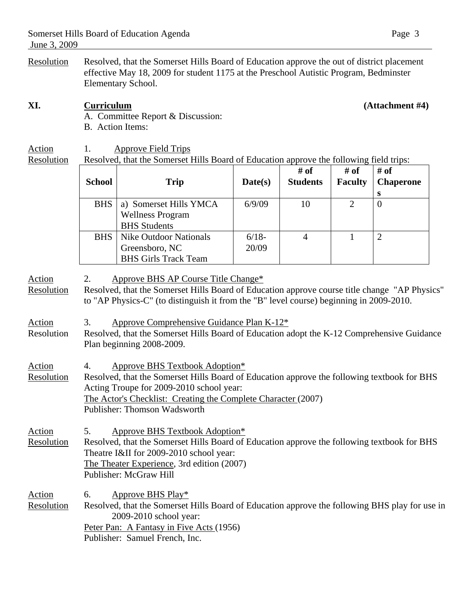Resolution Resolved, that the Somerset Hills Board of Education approve the out of district placement effective May 18, 2009 for student 1175 at the Preschool Autistic Program, Bedminster Elementary School.

### **XI. Curriculum (Attachment #4)**

A. Committee Report & Discussion: B. Action Items:

# Action 1. Approve Field Trips<br>Resolution Resolved, that the Somerset I

Resolved, that the Somerset Hills Board of Education approve the following field trips:

|                             | <b>School</b>                                                                                                                                                              | <b>Trip</b>                                                                                                                                                                                                                                                                       | Date(s)          | # of<br><b>Students</b> | # of<br><b>Faculty</b> | $#$ of<br><b>Chaperone</b><br>S |
|-----------------------------|----------------------------------------------------------------------------------------------------------------------------------------------------------------------------|-----------------------------------------------------------------------------------------------------------------------------------------------------------------------------------------------------------------------------------------------------------------------------------|------------------|-------------------------|------------------------|---------------------------------|
|                             | <b>BHS</b>                                                                                                                                                                 | a) Somerset Hills YMCA<br><b>Wellness Program</b><br><b>BHS</b> Students                                                                                                                                                                                                          | 6/9/09           | 10                      | $\overline{2}$         | $\overline{0}$                  |
|                             | <b>BHS</b>                                                                                                                                                                 | <b>Nike Outdoor Nationals</b><br>Greensboro, NC<br><b>BHS Girls Track Team</b>                                                                                                                                                                                                    | $6/18-$<br>20/09 | $\overline{4}$          | 1                      | $\overline{2}$                  |
| <b>Action</b><br>Resolution | 2.                                                                                                                                                                         | Approve BHS AP Course Title Change*<br>Resolved, that the Somerset Hills Board of Education approve course title change "AP Physics"<br>to "AP Physics-C" (to distinguish it from the "B" level course) beginning in 2009-2010.                                                   |                  |                         |                        |                                 |
| <u>Action</u><br>Resolution | Approve Comprehensive Guidance Plan K-12*<br>3.<br>Resolved, that the Somerset Hills Board of Education adopt the K-12 Comprehensive Guidance<br>Plan beginning 2008-2009. |                                                                                                                                                                                                                                                                                   |                  |                         |                        |                                 |
| Action<br><b>Resolution</b> | 4.                                                                                                                                                                         | <b>Approve BHS Textbook Adoption*</b><br>Resolved, that the Somerset Hills Board of Education approve the following textbook for BHS<br>Acting Troupe for 2009-2010 school year:<br>The Actor's Checklist: Creating the Complete Character (2007)<br>Publisher: Thomson Wadsworth |                  |                         |                        |                                 |
| Action<br>Resolution        | 5.                                                                                                                                                                         | <b>Approve BHS Textbook Adoption*</b><br>Resolved, that the Somerset Hills Board of Education approve the following textbook for BHS<br>Theatre I&II for 2009-2010 school year:<br>The Theater Experience, 3rd edition (2007)<br>Publisher: McGraw Hill                           |                  |                         |                        |                                 |

Action 6. Approve BHS Play\* Resolution Resolved, that the Somerset Hills Board of Education approve the following BHS play for use in 2009-2010 school year: Peter Pan: A Fantasy in Five Acts (1956)

Publisher: Samuel French, Inc.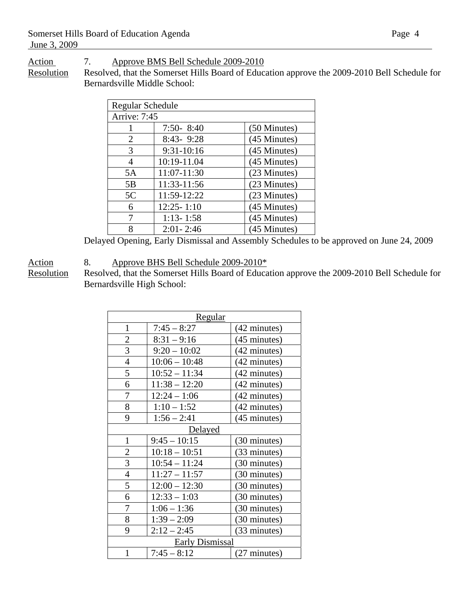Action 7. Approve BMS Bell Schedule 2009-2010

Resolution Resolved, that the Somerset Hills Board of Education approve the 2009-2010 Bell Schedule for Bernardsville Middle School:

| Regular Schedule |                |              |  |  |
|------------------|----------------|--------------|--|--|
| Arrive: 7:45     |                |              |  |  |
|                  | $7:50 - 8:40$  | (50 Minutes) |  |  |
| 2                | 8:43-9:28      | (45 Minutes) |  |  |
| 3                | 9:31-10:16     | (45 Minutes) |  |  |
| $\overline{A}$   | 10:19-11.04    | (45 Minutes) |  |  |
| 5A               | 11:07-11:30    | (23 Minutes) |  |  |
| 5B               | 11:33-11:56    | (23 Minutes) |  |  |
| 5C               | 11:59-12:22    | (23 Minutes) |  |  |
| 6                | $12:25 - 1:10$ | (45 Minutes) |  |  |
| 7                | $1:13 - 1:58$  | (45 Minutes) |  |  |
| 8                | $2:01 - 2:46$  | (45 Minutes) |  |  |

Delayed Opening, Early Dismissal and Assembly Schedules to be approved on June 24, 2009

Action 8. Approve BHS Bell Schedule 2009-2010\*<br>Resolution Resolved, that the Somerset Hills Board of Educa

Resolved, that the Somerset Hills Board of Education approve the 2009-2010 Bell Schedule for Bernardsville High School:

| Regular                |                 |                        |  |  |
|------------------------|-----------------|------------------------|--|--|
| $\mathbf{1}$           | $7:45 - 8:27$   | (42 minutes)           |  |  |
| $\overline{c}$         | $8:31 - 9:16$   | (45 minutes)           |  |  |
| 3                      | $9:20 - 10:02$  | (42 minutes)           |  |  |
| $\overline{4}$         | $10:06 - 10:48$ | (42 minutes)           |  |  |
| 5                      | $10:52 - 11:34$ | (42 minutes)           |  |  |
| 6                      | $11:38 - 12:20$ | (42 minutes)           |  |  |
| $\overline{7}$         | $12:24 - 1:06$  | (42 minutes)           |  |  |
| 8                      | $1:10 - 1:52$   | (42 minutes)           |  |  |
| 9                      | $1:56 - 2:41$   | $(45 \text{ minutes})$ |  |  |
|                        | Delayed         |                        |  |  |
| $\mathbf{1}$           | $9:45 - 10:15$  | (30 minutes)           |  |  |
| $\overline{c}$         | $10:18 - 10:51$ | (33 minutes)           |  |  |
| 3                      | $10:54 - 11:24$ | (30 minutes)           |  |  |
| $\overline{4}$         | $11:27 - 11:57$ | (30 minutes)           |  |  |
| 5                      | $12:00 - 12:30$ | (30 minutes)           |  |  |
| 6                      | $12:33 - 1:03$  | (30 minutes)           |  |  |
| 7                      | $1:06 - 1:36$   | (30 minutes)           |  |  |
| 8                      | $1:39 - 2:09$   | (30 minutes)           |  |  |
| 9                      | $2:12 - 2:45$   | (33 minutes)           |  |  |
| <b>Early Dismissal</b> |                 |                        |  |  |
| 1                      | $7:45 - 8:12$   | $(27 \text{ minutes})$ |  |  |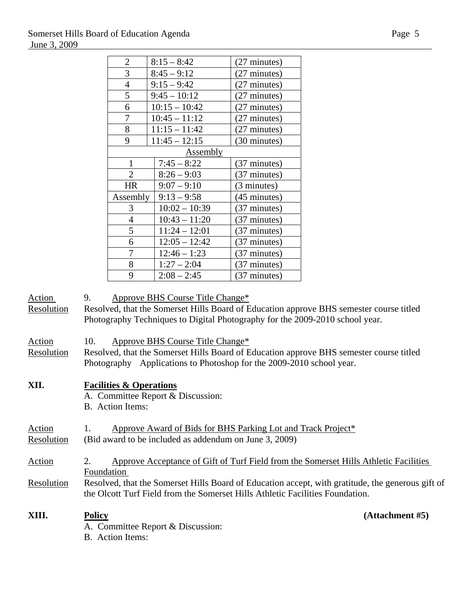| $\overline{\mathbf{c}}$ | $8:15 - 8:42$   | (27 minutes) |
|-------------------------|-----------------|--------------|
| 3                       | $8:45 - 9:12$   | (27 minutes) |
| $\overline{4}$          | $9:15 - 9:42$   | (27 minutes) |
| 5                       | $9:45 - 10:12$  | (27 minutes) |
| 6                       | $10:15 - 10:42$ | (27 minutes) |
| 7                       | $10:45 - 11:12$ | (27 minutes) |
| 8                       | $11:15 - 11:42$ | (27 minutes) |
| 9                       | $11:45 - 12:15$ | (30 minutes) |
|                         | <b>Assembly</b> |              |
| 1                       | $7:45 - 8:22$   | (37 minutes) |
| $\overline{2}$          | $8:26 - 9:03$   | (37 minutes) |
| <b>HR</b>               | $9:07 - 9:10$   | (3 minutes)  |
| Assembly                | $9:13 - 9:58$   | (45 minutes) |
| 3                       | $10:02 - 10:39$ | (37 minutes) |
| $\overline{4}$          | $10:43 - 11:20$ | (37 minutes) |
| 5                       | $11:24 - 12:01$ | (37 minutes) |
| 6                       | $12:05 - 12:42$ | (37 minutes) |
| 7                       | $12:46 - 1:23$  | (37 minutes) |
| 8                       | $1:27 - 2:04$   | (37 minutes) |
| 9                       | $2:08 - 2:45$   | (37 minutes) |

### Action 9. Approve BHS Course Title Change\*

Resolution Resolved, that the Somerset Hills Board of Education approve BHS semester course titled Photography Techniques to Digital Photography for the 2009-2010 school year.

- Action 10. Approve BHS Course Title Change\*
- Resolution Resolved, that the Somerset Hills Board of Education approve BHS semester course titled Photography Applications to Photoshop for the 2009-2010 school year.

### **XII. Facilities & Operations**

- A. Committee Report & Discussion:
- B. Action Items:

### Action 1. Approve Award of Bids for BHS Parking Lot and Track Project<sup>\*</sup> Resolution (Bid award to be included as addendum on June 3, 2009)

- Action 2. Approve Acceptance of Gift of Turf Field from the Somerset Hills Athletic Facilities Foundation
- Resolution Resolved, that the Somerset Hills Board of Education accept, with gratitude, the generous gift of the Olcott Turf Field from the Somerset Hills Athletic Facilities Foundation.

**XIII. Policy (Attachment #5)**

- A. Committee Report & Discussion:
- B. Action Items: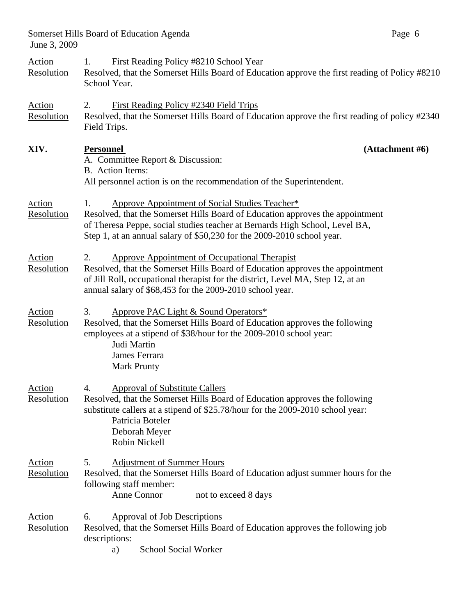| <u>Action</u><br>Resolution | First Reading Policy #8210 School Year<br>1.<br>Resolved, that the Somerset Hills Board of Education approve the first reading of Policy #8210<br>School Year.                                                                                                                                 |
|-----------------------------|------------------------------------------------------------------------------------------------------------------------------------------------------------------------------------------------------------------------------------------------------------------------------------------------|
| Action<br>Resolution        | First Reading Policy #2340 Field Trips<br>2.<br>Resolved, that the Somerset Hills Board of Education approve the first reading of policy #2340<br>Field Trips.                                                                                                                                 |
| XIV.                        | <b>Personnel</b><br>(Attachment #6)<br>A. Committee Report & Discussion:<br>B. Action Items:<br>All personnel action is on the recommendation of the Superintendent.                                                                                                                           |
| <u>Action</u><br>Resolution | Approve Appointment of Social Studies Teacher*<br>1.<br>Resolved, that the Somerset Hills Board of Education approves the appointment<br>of Theresa Peppe, social studies teacher at Bernards High School, Level BA,<br>Step 1, at an annual salary of \$50,230 for the 2009-2010 school year. |
| Action<br>Resolution        | <b>Approve Appointment of Occupational Therapist</b><br>2.<br>Resolved, that the Somerset Hills Board of Education approves the appointment<br>of Jill Roll, occupational therapist for the district, Level MA, Step 12, at an<br>annual salary of \$68,453 for the 2009-2010 school year.     |
| <u>Action</u><br>Resolution | Approve PAC Light & Sound Operators*<br>3.<br>Resolved, that the Somerset Hills Board of Education approves the following<br>employees at a stipend of \$38/hour for the 2009-2010 school year:<br>Judi Martin<br>James Ferrara<br><b>Mark Prunty</b>                                          |
| Action<br>Resolution        | <b>Approval of Substitute Callers</b><br>4.<br>Resolved, that the Somerset Hills Board of Education approves the following<br>substitute callers at a stipend of \$25.78/hour for the 2009-2010 school year:<br>Patricia Boteler<br>Deborah Meyer<br>Robin Nickell                             |
| <u>Action</u><br>Resolution | <b>Adjustment of Summer Hours</b><br>5.<br>Resolved, that the Somerset Hills Board of Education adjust summer hours for the<br>following staff member:<br>Anne Connor<br>not to exceed 8 days                                                                                                  |
| <u>Action</u><br>Resolution | <b>Approval of Job Descriptions</b><br>6.<br>Resolved, that the Somerset Hills Board of Education approves the following job<br>descriptions:<br><b>School Social Worker</b><br>a)                                                                                                             |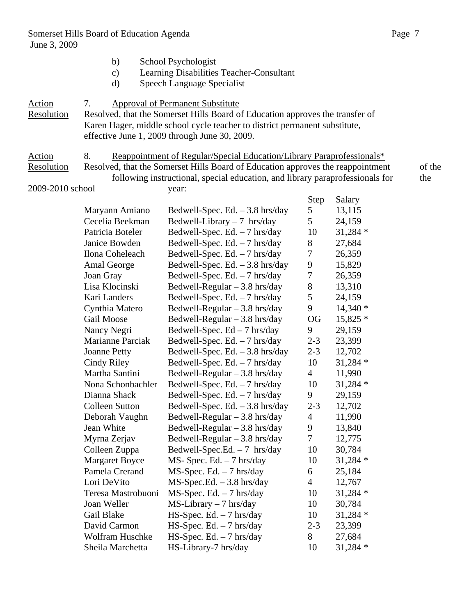|                             | b)<br>$\mathbf{c})$<br>d)                                                                                                                                                                                                                                     | School Psychologist<br>Learning Disabilities Teacher-Consultant<br>Speech Language Specialist |                |               |        |  |  |  |
|-----------------------------|---------------------------------------------------------------------------------------------------------------------------------------------------------------------------------------------------------------------------------------------------------------|-----------------------------------------------------------------------------------------------|----------------|---------------|--------|--|--|--|
| <u>Action</u><br>Resolution | 7.<br><b>Approval of Permanent Substitute</b><br>Resolved, that the Somerset Hills Board of Education approves the transfer of<br>Karen Hager, middle school cycle teacher to district permanent substitute,<br>effective June 1, 2009 through June 30, 2009. |                                                                                               |                |               |        |  |  |  |
| Action                      | 8.                                                                                                                                                                                                                                                            | Reappointment of Regular/Special Education/Library Paraprofessionals*                         |                |               |        |  |  |  |
| Resolution                  |                                                                                                                                                                                                                                                               | Resolved, that the Somerset Hills Board of Education approves the reappointment               |                |               | of the |  |  |  |
|                             |                                                                                                                                                                                                                                                               | following instructional, special education, and library paraprofessionals for                 |                |               | the    |  |  |  |
| 2009-2010 school            |                                                                                                                                                                                                                                                               | year:                                                                                         |                |               |        |  |  |  |
|                             |                                                                                                                                                                                                                                                               |                                                                                               | <b>Step</b>    | <b>Salary</b> |        |  |  |  |
|                             | Maryann Amiano                                                                                                                                                                                                                                                | Bedwell-Spec. Ed. $-3.8$ hrs/day                                                              | 5              | 13,115        |        |  |  |  |
|                             | Cecelia Beekman                                                                                                                                                                                                                                               | Bedwell-Library $-7$ hrs/day                                                                  | 5              | 24,159        |        |  |  |  |
|                             | Patricia Boteler                                                                                                                                                                                                                                              | Bedwell-Spec. Ed. $-7$ hrs/day                                                                | 10             | $31,284*$     |        |  |  |  |
|                             | Janice Bowden                                                                                                                                                                                                                                                 | Bedwell-Spec. Ed. $-7$ hrs/day                                                                | 8              | 27,684        |        |  |  |  |
|                             | Ilona Coheleach                                                                                                                                                                                                                                               | Bedwell-Spec. Ed. - 7 hrs/day                                                                 | $\tau$         | 26,359        |        |  |  |  |
|                             | Amal George                                                                                                                                                                                                                                                   | Bedwell-Spec. Ed. $-3.8$ hrs/day                                                              | 9              | 15,829        |        |  |  |  |
|                             | Joan Gray                                                                                                                                                                                                                                                     | Bedwell-Spec. Ed. $-7$ hrs/day                                                                | $\tau$         | 26,359        |        |  |  |  |
|                             | Lisa Klocinski                                                                                                                                                                                                                                                | Bedwell-Regular $-3.8$ hrs/day                                                                | $8\,$          | 13,310        |        |  |  |  |
|                             | Kari Landers                                                                                                                                                                                                                                                  | Bedwell-Spec. Ed. $-7$ hrs/day                                                                | 5              | 24,159        |        |  |  |  |
|                             | Cynthia Matero                                                                                                                                                                                                                                                | Bedwell-Regular - 3.8 hrs/day                                                                 | 9              | $14,340*$     |        |  |  |  |
|                             | Gail Moose                                                                                                                                                                                                                                                    | Bedwell-Regular $-3.8$ hrs/day                                                                | <b>OG</b>      | $15,825*$     |        |  |  |  |
|                             | Nancy Negri                                                                                                                                                                                                                                                   | Bedwell-Spec. $Ed - 7$ hrs/day                                                                | 9              | 29,159        |        |  |  |  |
|                             | <b>Marianne Parciak</b>                                                                                                                                                                                                                                       | Bedwell-Spec. Ed. $-7$ hrs/day                                                                | $2 - 3$        | 23,399        |        |  |  |  |
|                             | <b>Joanne Petty</b>                                                                                                                                                                                                                                           | Bedwell-Spec. Ed. $-3.8$ hrs/day                                                              | $2 - 3$        | 12,702        |        |  |  |  |
|                             | Cindy Riley                                                                                                                                                                                                                                                   | Bedwell-Spec. Ed. $-7$ hrs/day                                                                | 10             | $31,284*$     |        |  |  |  |
|                             | Martha Santini                                                                                                                                                                                                                                                | Bedwell-Regular $-3.8$ hrs/day                                                                | $\overline{4}$ | 11,990        |        |  |  |  |
|                             | Nona Schonbachler                                                                                                                                                                                                                                             | Bedwell-Spec. Ed. $-7$ hrs/day                                                                | 10             | $31,284*$     |        |  |  |  |
|                             | Dianna Shack                                                                                                                                                                                                                                                  |                                                                                               | 9              | 29,159        |        |  |  |  |
|                             |                                                                                                                                                                                                                                                               | Bedwell-Spec. Ed. $-7$ hrs/day                                                                |                |               |        |  |  |  |
|                             | <b>Colleen Sutton</b>                                                                                                                                                                                                                                         | Bedwell-Spec. Ed. $-3.8$ hrs/day                                                              | $2 - 3$        | 12,702        |        |  |  |  |
|                             | Deborah Vaughn                                                                                                                                                                                                                                                | Bedwell-Regular $-3.8$ hrs/day                                                                | 4              | 11,990        |        |  |  |  |
|                             | Jean White                                                                                                                                                                                                                                                    | Bedwell-Regular $-3.8$ hrs/day                                                                | 9              | 13,840        |        |  |  |  |
|                             | Myrna Zerjav                                                                                                                                                                                                                                                  | Bedwell-Regular $-3.8$ hrs/day                                                                | $\tau$         | 12,775        |        |  |  |  |
|                             | Colleen Zuppa                                                                                                                                                                                                                                                 | Bedwell-Spec.Ed. $-7$ hrs/day                                                                 | 10             | 30,784        |        |  |  |  |
|                             | <b>Margaret Boyce</b>                                                                                                                                                                                                                                         | $MS-Spec. Ed. - 7 hrs/day$                                                                    | 10             | $31,284*$     |        |  |  |  |
|                             | Pamela Crerand                                                                                                                                                                                                                                                | $MS-Spec. Ed. - 7 hrs/day$                                                                    | 6              | 25,184        |        |  |  |  |
|                             | Lori DeVito                                                                                                                                                                                                                                                   | $MS-Spec.Ed. - 3.8 hrs/day$                                                                   | 4              | 12,767        |        |  |  |  |
|                             | Teresa Mastrobuoni                                                                                                                                                                                                                                            | $MS-Spec. Ed. - 7 hrs/day$                                                                    | 10             | $31,284*$     |        |  |  |  |
|                             | Joan Weller                                                                                                                                                                                                                                                   | $MS-Library - 7 hrs/day$                                                                      | 10             | 30,784        |        |  |  |  |
|                             | Gail Blake                                                                                                                                                                                                                                                    | $HS-Spec. Ed. - 7 hrs/day$                                                                    | 10             | $31,284*$     |        |  |  |  |
|                             | David Carmon                                                                                                                                                                                                                                                  | $HS-Spec. Ed. - 7 hrs/day$                                                                    | $2 - 3$        | 23,399        |        |  |  |  |
|                             | Wolfram Huschke                                                                                                                                                                                                                                               | $HS-Spec. Ed. - 7 hrs/day$                                                                    | 8              | 27,684        |        |  |  |  |
|                             | Sheila Marchetta                                                                                                                                                                                                                                              | HS-Library-7 hrs/day                                                                          | 10             | 31,284 *      |        |  |  |  |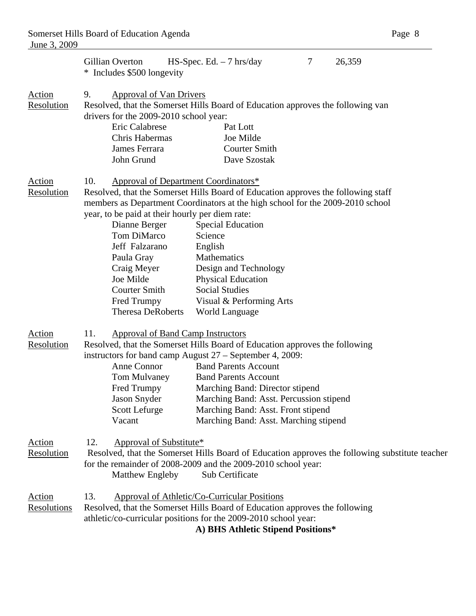|                             | 7<br>Gillian Overton<br>$HS-Spec. Ed. - 7 hrs/day$<br>26,359<br>* Includes \$500 longevity                                                                                                                                                                                                                                                                                                                                                                                                                                                                                                                                                |  |  |  |  |
|-----------------------------|-------------------------------------------------------------------------------------------------------------------------------------------------------------------------------------------------------------------------------------------------------------------------------------------------------------------------------------------------------------------------------------------------------------------------------------------------------------------------------------------------------------------------------------------------------------------------------------------------------------------------------------------|--|--|--|--|
| <b>Action</b><br>Resolution | 9.<br><b>Approval of Van Drivers</b><br>Resolved, that the Somerset Hills Board of Education approves the following van<br>drivers for the 2009-2010 school year:<br>Eric Calabrese<br>Pat Lott                                                                                                                                                                                                                                                                                                                                                                                                                                           |  |  |  |  |
|                             | Chris Habermas<br>Joe Milde                                                                                                                                                                                                                                                                                                                                                                                                                                                                                                                                                                                                               |  |  |  |  |
|                             | James Ferrara<br><b>Courter Smith</b>                                                                                                                                                                                                                                                                                                                                                                                                                                                                                                                                                                                                     |  |  |  |  |
|                             | John Grund<br>Dave Szostak                                                                                                                                                                                                                                                                                                                                                                                                                                                                                                                                                                                                                |  |  |  |  |
| <b>Action</b><br>Resolution | 10.<br><b>Approval of Department Coordinators*</b><br>Resolved, that the Somerset Hills Board of Education approves the following staff<br>members as Department Coordinators at the high school for the 2009-2010 school<br>year, to be paid at their hourly per diem rate:<br>Dianne Berger<br><b>Special Education</b><br>Tom DiMarco<br>Science<br>Jeff Falzarano<br>English<br>Paula Gray<br>Mathematics<br>Craig Meyer<br>Design and Technology<br>Joe Milde<br><b>Physical Education</b><br><b>Courter Smith</b><br><b>Social Studies</b><br>Fred Trumpy<br>Visual & Performing Arts<br><b>Theresa DeRoberts</b><br>World Language |  |  |  |  |
| Action<br>Resolution        | 11.<br><b>Approval of Band Camp Instructors</b><br>Resolved, that the Somerset Hills Board of Education approves the following<br>instructors for band camp August 27 – September 4, 2009:<br>Anne Connor<br><b>Band Parents Account</b><br><b>Band Parents Account</b><br>Tom Mulvaney<br>Fred Trumpy<br>Marching Band: Director stipend<br>Jason Snyder<br>Marching Band: Asst. Percussion stipend<br>Scott Lefurge<br>Marching Band: Asst. Front stipend<br>Vacant<br>Marching Band: Asst. Marching stipend                                                                                                                            |  |  |  |  |
| <b>Action</b><br>Resolution | 12.<br>Approval of Substitute*<br>Resolved, that the Somerset Hills Board of Education approves the following substitute teacher<br>for the remainder of 2008-2009 and the 2009-2010 school year:<br>Matthew Engleby<br>Sub Certificate                                                                                                                                                                                                                                                                                                                                                                                                   |  |  |  |  |
| Action<br>Resolutions       | 13.<br>Approval of Athletic/Co-Curricular Positions<br>Resolved, that the Somerset Hills Board of Education approves the following<br>athletic/co-curricular positions for the 2009-2010 school year:<br>A) BHS Athletic Stipend Positions*                                                                                                                                                                                                                                                                                                                                                                                               |  |  |  |  |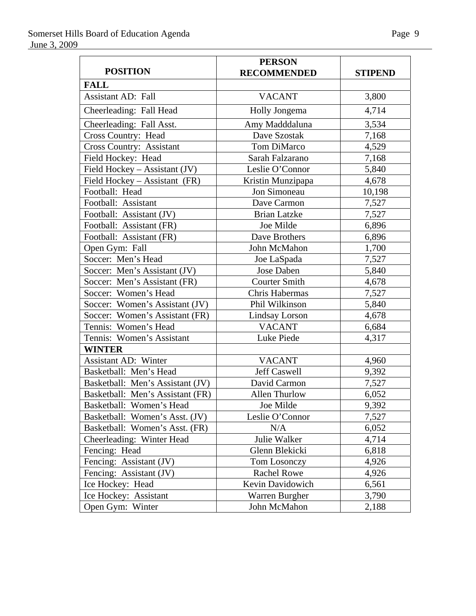|                                  | <b>PERSON</b>         |                |
|----------------------------------|-----------------------|----------------|
| <b>POSITION</b>                  | <b>RECOMMENDED</b>    | <b>STIPEND</b> |
| <b>FALL</b>                      |                       |                |
| <b>Assistant AD: Fall</b>        | <b>VACANT</b>         | 3,800          |
| Cheerleading: Fall Head          | Holly Jongema         | 4,714          |
| Cheerleading: Fall Asst.         | Amy Madddaluna        | 3,534          |
| <b>Cross Country: Head</b>       | Dave Szostak          | 7,168          |
| Cross Country: Assistant         | <b>Tom DiMarco</b>    | 4,529          |
| Field Hockey: Head               | Sarah Falzarano       | 7,168          |
| Field Hockey - Assistant (JV)    | Leslie O'Connor       | 5,840          |
| Field Hockey - Assistant (FR)    | Kristin Munzipapa     | 4,678          |
| Football: Head                   | Jon Simoneau          | 10,198         |
| Football: Assistant              | Dave Carmon           | 7,527          |
| Football: Assistant (JV)         | <b>Brian Latzke</b>   | 7,527          |
| Football: Assistant (FR)         | Joe Milde             | 6,896          |
| Football: Assistant (FR)         | Dave Brothers         | 6,896          |
| Open Gym: Fall                   | John McMahon          | 1,700          |
| Soccer: Men's Head               | Joe LaSpada           | 7,527          |
| Soccer: Men's Assistant (JV)     | Jose Daben            | 5,840          |
| Soccer: Men's Assistant (FR)     | <b>Courter Smith</b>  | 4,678          |
| Soccer: Women's Head             | Chris Habermas        | 7,527          |
| Soccer: Women's Assistant (JV)   | Phil Wilkinson        | 5,840          |
| Soccer: Women's Assistant (FR)   | <b>Lindsay Lorson</b> | 4,678          |
| Tennis: Women's Head             | <b>VACANT</b>         | 6,684          |
| Tennis: Women's Assistant        | Luke Piede            | 4,317          |
| <b>WINTER</b>                    |                       |                |
| <b>Assistant AD: Winter</b>      | <b>VACANT</b>         | 4,960          |
| Basketball: Men's Head           | Jeff Caswell          | 9,392          |
| Basketball: Men's Assistant (JV) | David Carmon          | 7,527          |
| Basketball: Men's Assistant (FR) | Allen Thurlow         | 6,052          |
| Basketball: Women's Head         | Joe Milde             | 9,392          |
| Basketball: Women's Asst. (JV)   | Leslie O'Connor       | 7,527          |
| Basketball: Women's Asst. (FR)   | N/A                   | 6,052          |
| Cheerleading: Winter Head        | Julie Walker          | 4,714          |
| Fencing: Head                    | Glenn Blekicki        | 6,818          |
| Fencing: Assistant (JV)          | Tom Losonczy          | 4,926          |
| Fencing: Assistant (JV)          | <b>Rachel Rowe</b>    | 4,926          |
| Ice Hockey: Head                 | Kevin Davidowich      | 6,561          |
| Ice Hockey: Assistant            | Warren Burgher        | 3,790          |
| Open Gym: Winter                 | John McMahon          | 2,188          |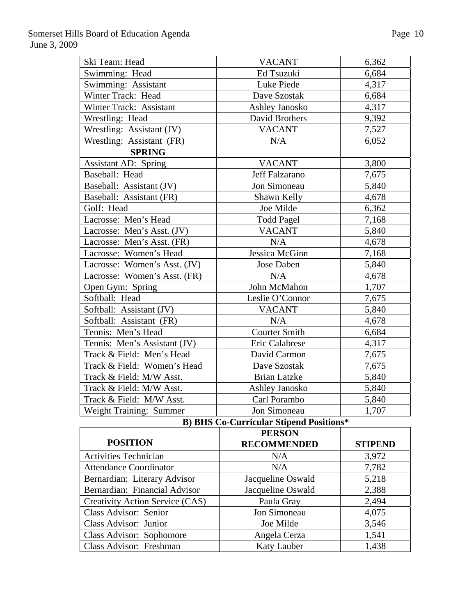| Ski Team: Head               | <b>VACANT</b>        | 6,362 |
|------------------------------|----------------------|-------|
| Swimming: Head               | Ed Tsuzuki           | 6,684 |
| Swimming: Assistant          | Luke Piede           | 4,317 |
| Winter Track: Head           | Dave Szostak         | 6,684 |
| Winter Track: Assistant      | Ashley Janosko       | 4,317 |
| Wrestling: Head              | David Brothers       | 9,392 |
| Wrestling: Assistant (JV)    | <b>VACANT</b>        | 7,527 |
| Wrestling: Assistant (FR)    | N/A                  | 6,052 |
| <b>SPRING</b>                |                      |       |
| <b>Assistant AD: Spring</b>  | <b>VACANT</b>        | 3,800 |
| Baseball: Head               | Jeff Falzarano       | 7,675 |
| Baseball: Assistant (JV)     | Jon Simoneau         | 5,840 |
| Baseball: Assistant (FR)     | Shawn Kelly          | 4,678 |
| Golf: Head                   | Joe Milde            | 6,362 |
| Lacrosse: Men's Head         | <b>Todd Pagel</b>    | 7,168 |
| Lacrosse: Men's Asst. (JV)   | <b>VACANT</b>        | 5,840 |
| Lacrosse: Men's Asst. (FR)   | N/A                  | 4,678 |
| Lacrosse: Women's Head       | Jessica McGinn       | 7,168 |
| Lacrosse: Women's Asst. (JV) | Jose Daben           | 5,840 |
| Lacrosse: Women's Asst. (FR) | N/A                  | 4,678 |
| Open Gym: Spring             | John McMahon         | 1,707 |
| Softball: Head               | Leslie O'Connor      | 7,675 |
| Softball: Assistant (JV)     | <b>VACANT</b>        | 5,840 |
| Softball: Assistant (FR)     | N/A                  | 4,678 |
| Tennis: Men's Head           | <b>Courter Smith</b> | 6,684 |
| Tennis: Men's Assistant (JV) | Eric Calabrese       | 4,317 |
| Track & Field: Men's Head    | David Carmon         | 7,675 |
| Track & Field: Women's Head  | Dave Szostak         | 7,675 |
| Track & Field: M/W Asst.     | <b>Brian Latzke</b>  | 5,840 |
| Track & Field: M/W Asst.     | Ashley Janosko       | 5,840 |
| Track & Field: M/W Asst.     | Carl Porambo         | 5,840 |
| Weight Training: Summer      | Jon Simoneau         | 1,707 |

**B) BHS Co-Curricular Stipend Positions\*** 

|                                 | <b>PERSON</b>      |                |
|---------------------------------|--------------------|----------------|
| <b>POSITION</b>                 | <b>RECOMMENDED</b> | <b>STIPEND</b> |
| <b>Activities Technician</b>    | N/A                | 3,972          |
| <b>Attendance Coordinator</b>   | N/A                | 7,782          |
| Bernardian: Literary Advisor    | Jacqueline Oswald  | 5,218          |
| Bernardian: Financial Advisor   | Jacqueline Oswald  | 2,388          |
| Creativity Action Service (CAS) | Paula Gray         | 2,494          |
| Class Advisor: Senior           | Jon Simoneau       | 4,075          |
| Class Advisor: Junior           | Joe Milde          | 3,546          |
| Class Advisor: Sophomore        | Angela Cerza       | 1,541          |
| Class Advisor: Freshman         | <b>Katy Lauber</b> | 1,438          |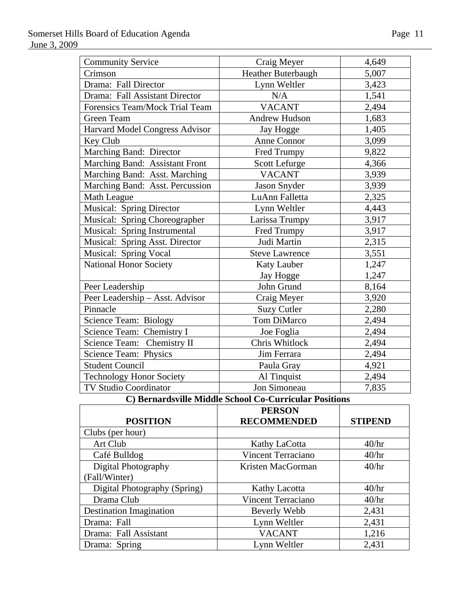| <b>Community Service</b>        | Craig Meyer           | 4,649 |
|---------------------------------|-----------------------|-------|
| Crimson                         | Heather Buterbaugh    | 5,007 |
| Drama: Fall Director            | Lynn Weltler          | 3,423 |
| Drama: Fall Assistant Director  | N/A                   | 1,541 |
| Forensics Team/Mock Trial Team  | <b>VACANT</b>         | 2,494 |
| <b>Green Team</b>               | <b>Andrew Hudson</b>  | 1,683 |
| Harvard Model Congress Advisor  | Jay Hogge             | 1,405 |
| Key Club                        | <b>Anne Connor</b>    | 3,099 |
| Marching Band: Director         | Fred Trumpy           | 9,822 |
| Marching Band: Assistant Front  | <b>Scott Lefurge</b>  | 4,366 |
| Marching Band: Asst. Marching   | <b>VACANT</b>         | 3,939 |
| Marching Band: Asst. Percussion | Jason Snyder          | 3,939 |
| Math League                     | LuAnn Falletta        | 2,325 |
| <b>Musical: Spring Director</b> | Lynn Weltler          | 4,443 |
| Musical: Spring Choreographer   | Larissa Trumpy        | 3,917 |
| Musical: Spring Instrumental    | Fred Trumpy           | 3,917 |
| Musical: Spring Asst. Director  | Judi Martin           | 2,315 |
| Musical: Spring Vocal           | <b>Steve Lawrence</b> | 3,551 |
| <b>National Honor Society</b>   | Katy Lauber           | 1,247 |
|                                 | Jay Hogge             | 1,247 |
| Peer Leadership                 | John Grund            | 8,164 |
| Peer Leadership - Asst. Advisor | Craig Meyer           | 3,920 |
| Pinnacle                        | <b>Suzy Cutler</b>    | 2,280 |
| <b>Science Team: Biology</b>    | <b>Tom DiMarco</b>    | 2,494 |
| Science Team: Chemistry I       | Joe Foglia            | 2,494 |
| Science Team: Chemistry II      | Chris Whitlock        | 2,494 |
| Science Team: Physics           | Jim Ferrara           | 2,494 |
| <b>Student Council</b>          | Paula Gray            | 4,921 |
| <b>Technology Honor Society</b> | Al Tinquist           | 2,494 |
| <b>TV Studio Coordinator</b>    | Jon Simoneau          | 7,835 |

# **C) Bernardsville Middle School Co-Curricular Positions**

|                                | <b>PERSON</b>             |                |
|--------------------------------|---------------------------|----------------|
| <b>POSITION</b>                | <b>RECOMMENDED</b>        | <b>STIPEND</b> |
| Clubs (per hour)               |                           |                |
| Art Club                       | Kathy LaCotta             | 40/hr          |
| Café Bulldog                   | <b>Vincent Terraciano</b> | 40/hr          |
| Digital Photography            | Kristen MacGorman         | 40/hr          |
| (Fall/Winter)                  |                           |                |
| Digital Photography (Spring)   | <b>Kathy Lacotta</b>      | 40/hr          |
| Drama Club                     | <b>Vincent Terraciano</b> | 40/hr          |
| <b>Destination Imagination</b> | Beverly Webb              | 2,431          |
| Drama: Fall                    | Lynn Weltler              | 2,431          |
| Drama: Fall Assistant          | <b>VACANT</b>             | 1,216          |
| Drama: Spring                  | Lynn Weltler              | 2,431          |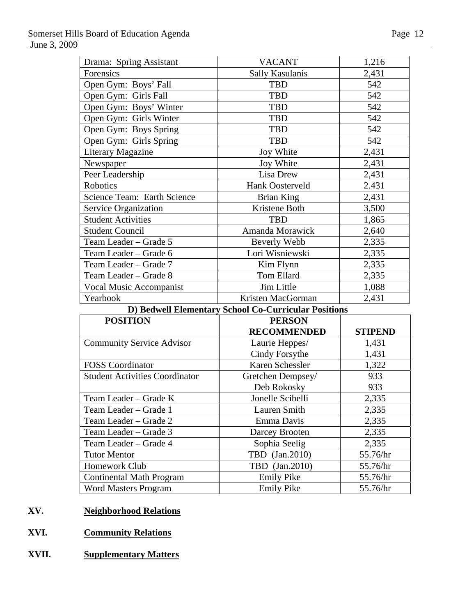| Drama: Spring Assistant                              | <b>VACANT</b>      | 1,216          |  |
|------------------------------------------------------|--------------------|----------------|--|
| Forensics                                            | Sally Kasulanis    | 2,431          |  |
| Open Gym: Boys' Fall                                 | <b>TBD</b>         | 542            |  |
| Open Gym: Girls Fall                                 | <b>TBD</b>         | 542            |  |
| Open Gym: Boys' Winter                               | <b>TBD</b>         | 542            |  |
| Open Gym: Girls Winter                               | <b>TBD</b>         | 542            |  |
| Open Gym: Boys Spring                                | <b>TBD</b>         | 542            |  |
| Open Gym: Girls Spring                               | <b>TBD</b>         | 542            |  |
| <b>Literary Magazine</b>                             | Joy White          | 2,431          |  |
| Newspaper                                            | Joy White          | 2,431          |  |
| Peer Leadership                                      | Lisa Drew          | 2,431          |  |
| Robotics                                             | Hank Oosterveld    | 2.431          |  |
| Science Team: Earth Science                          | <b>Brian King</b>  | 2,431          |  |
| <b>Service Organization</b>                          | Kristene Both      | 3,500          |  |
| <b>Student Activities</b>                            | <b>TBD</b>         | 1,865          |  |
| <b>Student Council</b>                               | Amanda Morawick    | 2,640          |  |
| Team Leader - Grade 5                                | Beverly Webb       | 2,335          |  |
| Team Leader - Grade 6                                | Lori Wisniewski    | 2,335          |  |
| Team Leader - Grade 7                                | Kim Flynn          | 2,335          |  |
| Team Leader - Grade 8                                | Tom Ellard         | 2,335          |  |
| <b>Vocal Music Accompanist</b>                       | Jim Little         | 1,088          |  |
| Yearbook                                             | Kristen MacGorman  | 2,431          |  |
| D) Bedwell Elementary School Co-Curricular Positions |                    |                |  |
| <b>POSITION</b>                                      | <b>PERSON</b>      |                |  |
|                                                      | <b>RECOMMENDED</b> | <b>STIPEND</b> |  |

|                                       | <b>RECOMMENDED</b> | <b>STIPEND</b> |
|---------------------------------------|--------------------|----------------|
| <b>Community Service Advisor</b>      | Laurie Heppes/     | 1,431          |
|                                       | Cindy Forsythe     | 1,431          |
| <b>FOSS</b> Coordinator               | Karen Schessler    | 1,322          |
| <b>Student Activities Coordinator</b> | Gretchen Dempsey/  | 933            |
|                                       | Deb Rokosky        | 933            |
| Team Leader – Grade K                 | Jonelle Scibelli   | 2,335          |
| Team Leader – Grade 1                 | Lauren Smith       | 2,335          |
| Team Leader – Grade 2                 | Emma Davis         | 2,335          |
| Team Leader – Grade 3                 | Darcey Brooten     | 2,335          |
| Team Leader – Grade 4                 | Sophia Seelig      | 2,335          |
| <b>Tutor Mentor</b>                   | TBD (Jan.2010)     | 55.76/hr       |
| Homework Club                         | TBD (Jan.2010)     | 55.76/hr       |
| <b>Continental Math Program</b>       | <b>Emily Pike</b>  | 55.76/hr       |
| <b>Word Masters Program</b>           | <b>Emily Pike</b>  | 55.76/hr       |

# **XV. Neighborhood Relations**

- **XVI. Community Relations**
- **XVII. Supplementary Matters**